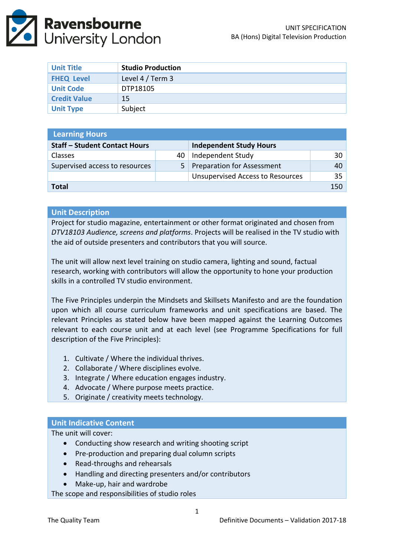

| <b>Unit Title</b>   | <b>Studio Production</b> |
|---------------------|--------------------------|
| <b>FHEQ Level</b>   | Level 4 / Term 3         |
| <b>Unit Code</b>    | DTP18105                 |
| <b>Credit Value</b> | 15                       |
| <b>Unit Type</b>    | Subject                  |

| <b>Learning Hours</b>                |                |                                         |    |  |
|--------------------------------------|----------------|-----------------------------------------|----|--|
| <b>Staff - Student Contact Hours</b> |                | <b>Independent Study Hours</b>          |    |  |
| <b>Classes</b>                       | 40             | Independent Study                       | 30 |  |
| Supervised access to resources       | 5 <sup>1</sup> | Preparation for Assessment              | 40 |  |
|                                      |                | <b>Unsupervised Access to Resources</b> | 35 |  |
| Total                                |                |                                         |    |  |

### **Unit Description**

Project for studio magazine, entertainment or other format originated and chosen from *DTV18103 Audience, screens and platforms*. Projects will be realised in the TV studio with the aid of outside presenters and contributors that you will source.

The unit will allow next level training on studio camera, lighting and sound, factual research, working with contributors will allow the opportunity to hone your production skills in a controlled TV studio environment.

The Five Principles underpin the Mindsets and Skillsets Manifesto and are the foundation upon which all course curriculum frameworks and unit specifications are based. The relevant Principles as stated below have been mapped against the Learning Outcomes relevant to each course unit and at each level (see Programme Specifications for full description of the Five Principles):

- 1. Cultivate / Where the individual thrives.
- 2. Collaborate / Where disciplines evolve.
- 3. Integrate / Where education engages industry.
- 4. Advocate / Where purpose meets practice.
- 5. Originate / creativity meets technology.

### **Unit Indicative Content**

The unit will cover:

- Conducting show research and writing shooting script
- Pre-production and preparing dual column scripts
- Read-throughs and rehearsals
- Handling and directing presenters and/or contributors
- Make-up, hair and wardrobe

The scope and responsibilities of studio roles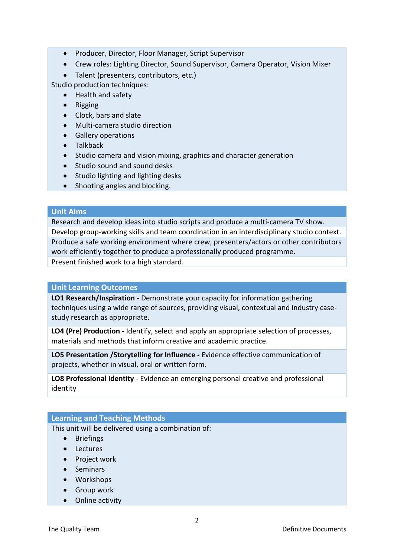- Producer, Director, Floor Manager, Script Supervisor
- Crew roles: Lighting Director, Sound Supervisor, Camera Operator, Vision Mixer
- Talent (presenters, contributors, etc.)

Studio production techniques:

- Health and safety
- Rigging
- Clock, bars and slate
- Multi-camera studio direction
- Gallery operations
- Talkback
- Studio camera and vision mixing, graphics and character generation
- Studio sound and sound desks
- Studio lighting and lighting desks
- Shooting angles and blocking.

#### **Unit Aims**

Research and develop ideas into studio scripts and produce a multi-camera TV show. Develop group-working skills and team coordination in an interdisciplinary studio context. Produce a safe working environment where crew, presenters/actors or other contributors work efficiently together to produce a professionally produced programme. Present finished work to a high standard.

### **Unit Learning Outcomes**

**LO1 Research/Inspiration -** Demonstrate your capacity for information gathering techniques using a wide range of sources, providing visual, contextual and industry casestudy research as appropriate.

**LO4 (Pre) Production -** Identify, select and apply an appropriate selection of processes, materials and methods that inform creative and academic practice.

**LO5 Presentation /Storytelling for Influence -** Evidence effective communication of projects, whether in visual, oral or written form.

**LO8 Professional Identity** - Evidence an emerging personal creative and professional identity

### **Learning and Teaching Methods**

This unit will be delivered using a combination of:

- **•** Briefings
- Lectures
- Project work
- Seminars
- Workshops
- **•** Group work
- Online activity